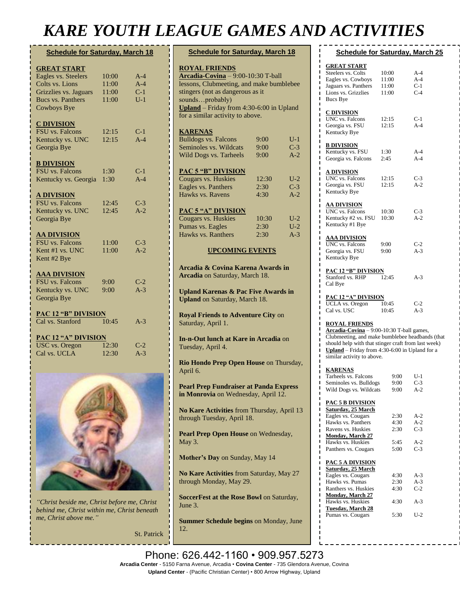## *KARE YOUTH LEAGUE GAMES AND ACTIVITIES*

| <b>Schedule for Saturday, March 18</b>                                                                                                  |                                  |                                  |
|-----------------------------------------------------------------------------------------------------------------------------------------|----------------------------------|----------------------------------|
| <b>GREAT START</b><br>Eagles vs. Steelers<br>Colts vs. Lions<br>Grizzlies vs. Jaguars<br><b>Bucs vs. Panthers</b><br><b>Cowboys Bye</b> | 10:00<br>11:00<br>11:00<br>11:00 | $A-4$<br>$A-4$<br>$C-1$<br>$U-1$ |
| <b>C DIVISION</b><br><b>FSU</b> vs. Falcons<br>Kentucky vs. UNC<br>Georgia Bye                                                          | 12:15<br>12:15                   | $C-1$<br>$A-4$                   |
| <b>B DIVISION</b><br>FSU vs. Falcons<br>Kentucky vs. Georgia                                                                            | 1:30<br>1:30                     | $C-1$<br>$A-4$                   |
| <u>A DIVISION</u><br><b>FSU</b> vs. Falcons<br>Kentucky vs. UNC<br>Georgia Bye                                                          | 12:45<br>12:45                   | $C-3$<br>$A-2$                   |
| <u>AA DIVISION</u><br>FSU vs. Falcons<br>Kent #1 vs. UNC<br>Kent #2 Bye                                                                 | 11:00<br>11:00                   | $C-3$<br>$A-2$                   |
| <b>AAA DIVISION</b><br><b>FSU</b> vs. Falcons<br>Kentucky vs. UNC<br>Georgia Bye                                                        | 9:00<br>9:00                     | $C-2$<br>$A-3$                   |
| <b>PAC 12 "B" DIVISION</b><br>Cal vs. Stanford                                                                                          | 10:45                            | $A-3$                            |
| <b>PAC 12 "A" DIVISION</b><br><b>USC</b> vs. Oregon<br>Cal vs. UCLA                                                                     | 12:30<br>12:30                   | $C-2$<br>$A-3$                   |



*"Christ beside me, Christ before me, Christ behind me, Christ within me, Christ beneath me, Christ above me."*

St. Patrick

| AUUL UAML) AI                                                                                                                                                                                                                                          |                       |                         |
|--------------------------------------------------------------------------------------------------------------------------------------------------------------------------------------------------------------------------------------------------------|-----------------------|-------------------------|
| <b>Schedule for Saturday, March 18</b>                                                                                                                                                                                                                 |                       |                         |
| <b>ROYAL FRIENDS</b><br>Arcadia-Covina - 9:00-10:30 T-ball<br>lessons, Clubmeeting, and make bumblebee<br>stingers (not as dangerous as it<br>soundsprobably)<br><b>Upland</b> – Friday from $4:30-6:00$ in Upland<br>for a similar activity to above. |                       |                         |
| <b>KARENAS</b><br><b>Bulldogs vs. Falcons</b><br>Seminoles vs. Wildcats<br>Wild Dogs vs. Tarheels                                                                                                                                                      | 9:00<br>9:00<br>9:00  | $U-1$<br>$C-3$<br>$A-2$ |
| <b>PAC 5 "B" DIVISION</b><br>Cougars vs. Huskies<br>Eagles vs. Panthers<br>Hawks vs. Ravens                                                                                                                                                            | 12:30<br>2:30<br>4:30 | $U-2$<br>$C-3$<br>$A-2$ |
| <b>PAC 5 "A" DIVISION</b><br>Cougars vs. Huskies<br>Pumas vs. Eagles<br>Hawks vs. Ranthers                                                                                                                                                             | 10:30<br>2:30<br>2:30 | $U-2$<br>$U-2$<br>$A-3$ |
| <b>UPCOMING EVENTS</b>                                                                                                                                                                                                                                 |                       |                         |
| Arcadia & Covina Karena Awards in<br>Arcadia on Saturday, March 18.                                                                                                                                                                                    |                       |                         |
| <b>Upland Karenas &amp; Pac Five Awards in</b><br><b>Upland</b> on Saturday, March 18.                                                                                                                                                                 |                       |                         |
| <b>Royal Friends to Adventure City on</b><br>Saturday, April 1.                                                                                                                                                                                        |                       |                         |
| In-n-Out lunch at Kare in Arcadia on<br>Tuesday, April 4.                                                                                                                                                                                              |                       |                         |
| Rio Hondo Prep Open House on Thursday,<br>April 6.                                                                                                                                                                                                     |                       |                         |
| <b>Pearl Prep Fundraiser at Panda Express</b><br>in Monrovia on Wednesday, April 12.                                                                                                                                                                   |                       |                         |
| No Kare Activities from Thursday, April 13<br>through Tuesday, April 18.                                                                                                                                                                               |                       |                         |
| Pearl Prep Open House on Wednesday,<br>May 3.                                                                                                                                                                                                          |                       |                         |
| Mother's Day on Sunday, May 14                                                                                                                                                                                                                         |                       |                         |
| <b>No Kare Activities</b> from Saturday, May 27                                                                                                                                                                                                        |                       |                         |

**No Kare Activities** from Saturday, May 27 through Monday, May 29.

**SoccerFest at the Rose Bowl** on Saturday, June 3.

**Summer Schedule begins** on Monday, June 12.

| <b>Schedule for Saturday, March 25</b><br><b>GREAT START</b><br>Steelers vs. Colts<br>10:00<br>A-4<br>$A-4$<br>Eagles vs. Cowboys<br>11:00<br>$C-1$<br>Jaguars vs. Panthers<br>11:00<br>$C-4$<br>Lions vs. Grizzlies<br>11:00<br>Bucs Bye<br><b>C DIVISION</b><br>UNC vs. Falcons<br>12:15<br>$C-1$<br>$A-4$<br>Georgia vs. FSU<br>12:15<br>Kentucky Bye<br><b>B DIVISION</b><br>Kentucky vs. FSU<br>$A-4$<br>1:30<br>$A-4$<br>Georgia vs. Falcons<br>2:45<br><u>A DIVISION</u><br>UNC vs. Falcons<br>12:15<br>$C-3$<br>$A-2$<br>Georgia vs. FSU<br>12:15<br>Kentucky Bye<br>AA DIVISION<br>UNC vs. Falcons<br>$C-3$<br>10:30<br>$A-2$<br>Kentucky #2 vs. FSU<br>10:30<br>Kentucky #1 Bye<br><u>AAA DIVISION</u><br><b>UNC</b> vs. Falcons<br>$C-2$<br>9:00<br>Georgia vs. FSU<br>$A-3$<br>9:00 |  |  |  |  |
|-------------------------------------------------------------------------------------------------------------------------------------------------------------------------------------------------------------------------------------------------------------------------------------------------------------------------------------------------------------------------------------------------------------------------------------------------------------------------------------------------------------------------------------------------------------------------------------------------------------------------------------------------------------------------------------------------------------------------------------------------------------------------------------------------|--|--|--|--|
|                                                                                                                                                                                                                                                                                                                                                                                                                                                                                                                                                                                                                                                                                                                                                                                                 |  |  |  |  |
|                                                                                                                                                                                                                                                                                                                                                                                                                                                                                                                                                                                                                                                                                                                                                                                                 |  |  |  |  |
|                                                                                                                                                                                                                                                                                                                                                                                                                                                                                                                                                                                                                                                                                                                                                                                                 |  |  |  |  |
|                                                                                                                                                                                                                                                                                                                                                                                                                                                                                                                                                                                                                                                                                                                                                                                                 |  |  |  |  |
|                                                                                                                                                                                                                                                                                                                                                                                                                                                                                                                                                                                                                                                                                                                                                                                                 |  |  |  |  |
|                                                                                                                                                                                                                                                                                                                                                                                                                                                                                                                                                                                                                                                                                                                                                                                                 |  |  |  |  |
| Kentucky Bye                                                                                                                                                                                                                                                                                                                                                                                                                                                                                                                                                                                                                                                                                                                                                                                    |  |  |  |  |
| <u>PAC 12 "B" DIVISION</u><br>Stanford vs. RHP<br>12:45<br>$A-3$<br>Cal Bye                                                                                                                                                                                                                                                                                                                                                                                                                                                                                                                                                                                                                                                                                                                     |  |  |  |  |
| <u>PAC 12 "A" DIVISION</u><br><b>UCLA</b> vs. Oregon<br>$C-2$<br>10:45<br>$A-3$<br>Cal vs. USC<br>10:45                                                                                                                                                                                                                                                                                                                                                                                                                                                                                                                                                                                                                                                                                         |  |  |  |  |
| <b>ROYAL FRIENDS</b><br>Arcadia-Covina - 9:00-10:30 T-ball games,<br>Clubmeeting, and make bumblebee headbands (that<br>should help with that stinger craft from last week)<br>Upland – Friday from $4:30-6:00$ in Upland for a<br>similar activity to above.<br><u>KARENAS</u>                                                                                                                                                                                                                                                                                                                                                                                                                                                                                                                 |  |  |  |  |
| Tarheels vs. Falcons<br>$U-1$<br>9:00<br>Seminoles vs. Bulldogs<br>9:00<br>$C-3$<br>Wild Dogs vs. Wildcats<br>9:00<br>A-2                                                                                                                                                                                                                                                                                                                                                                                                                                                                                                                                                                                                                                                                       |  |  |  |  |
| <u>PAC 5 B DIVISION</u><br>Saturday, 25 March<br>Eagles vs. Cougars<br>2:30<br>A-2<br>$A-2$<br>Hawks vs. Panthers<br>4:30<br>$C-3$<br>Ravens vs. Huskies<br>2:30<br><b>Monday, March 27</b><br>Hawks vs. Huskies<br>5:45<br>$A-2$<br>$C-3$<br>5:00<br>Panthers vs. Cougars                                                                                                                                                                                                                                                                                                                                                                                                                                                                                                                      |  |  |  |  |
| <u>PAC 5 A DIVISION</u><br><b>Saturday, 25 March</b><br>4:30<br>Eagles vs. Cougars<br>A-3<br>$A-3$<br>Hawks vs. Pumas<br>2:30<br>$C-2$<br>Ranthers vs. Huskies<br>4:30<br><b>Monday, March 27</b><br>4:30<br>$A-3$<br>Hawks vs. Huskies<br><b>Tuesday, March 28</b><br>5:30<br>$U-2$<br>Pumas vs. Cougars                                                                                                                                                                                                                                                                                                                                                                                                                                                                                       |  |  |  |  |

Phone: 626.442-1160 • 909.957.5273 **Arcadia Center** - 5150 Farna Avenue, Arcadia • **Covina Center** - 735 Glendora Avenue, Covina **Upland Center** - (Pacific Christian Center) • 800 Arrow Highway, Upland